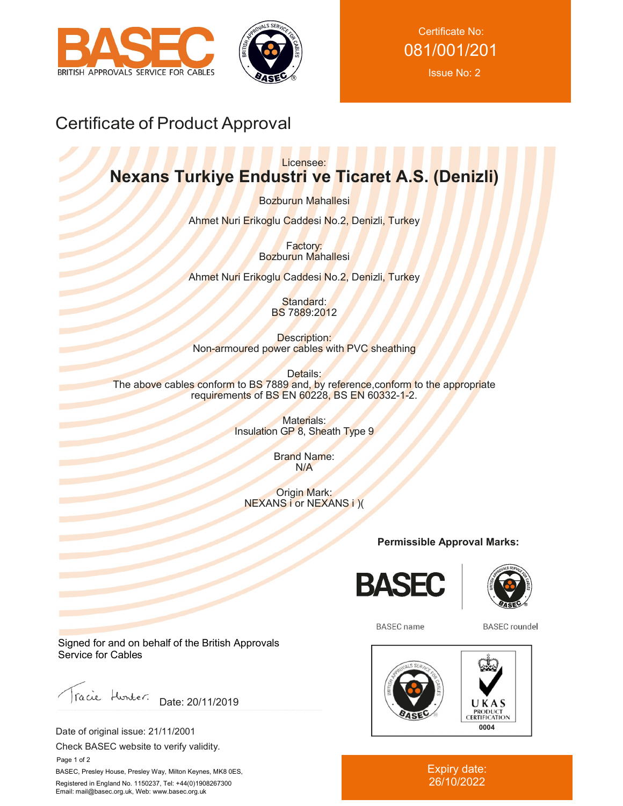



Certificate No: 081/001/201 Issue No: 2

# Certificate of Product Approval

### Licensee: **Nexans Turkiye Endustri ve Ticaret A.S. (Denizli)**

Bozburun Mahallesi

Ahmet Nuri Erikoglu Caddesi No.2, Denizli, Turkey

Factory: Bozburun Mahallesi

Ahmet Nuri Erikoglu Caddesi No.2, Denizli, Turkey

Standard: BS 7889:2012

Description: Non-armoured power cables with PVC sheathing

Details: The above cables conform to BS 7889 and, by reference,conform to the appropriate requirements of BS EN 60228, BS EN 60332-1-2.

> Materials: Insulation GP 8, Sheath Type 9

> > Brand Name: N/A

Origin Mark: NEXANS i or NEXANS i )(

**Permissible Approval Marks:**





**BASEC** name

**BASEC** roundel



Expiry date: 26/10/2022

Signed for and on behalf of the British Approvals Service for Cables

Facie Hunter. Date: 20/11/2019

Date of original issue: 21/11/2001

Check BASEC website to verify validity.

 Page 1 of 2 BASEC, Presley House, Presley Way, Milton Keynes, MK8 0ES, Registered in England No. 1150237, Tel: +44(0)1908267300 Email: mail@basec.org.uk, Web: www.basec.org.uk